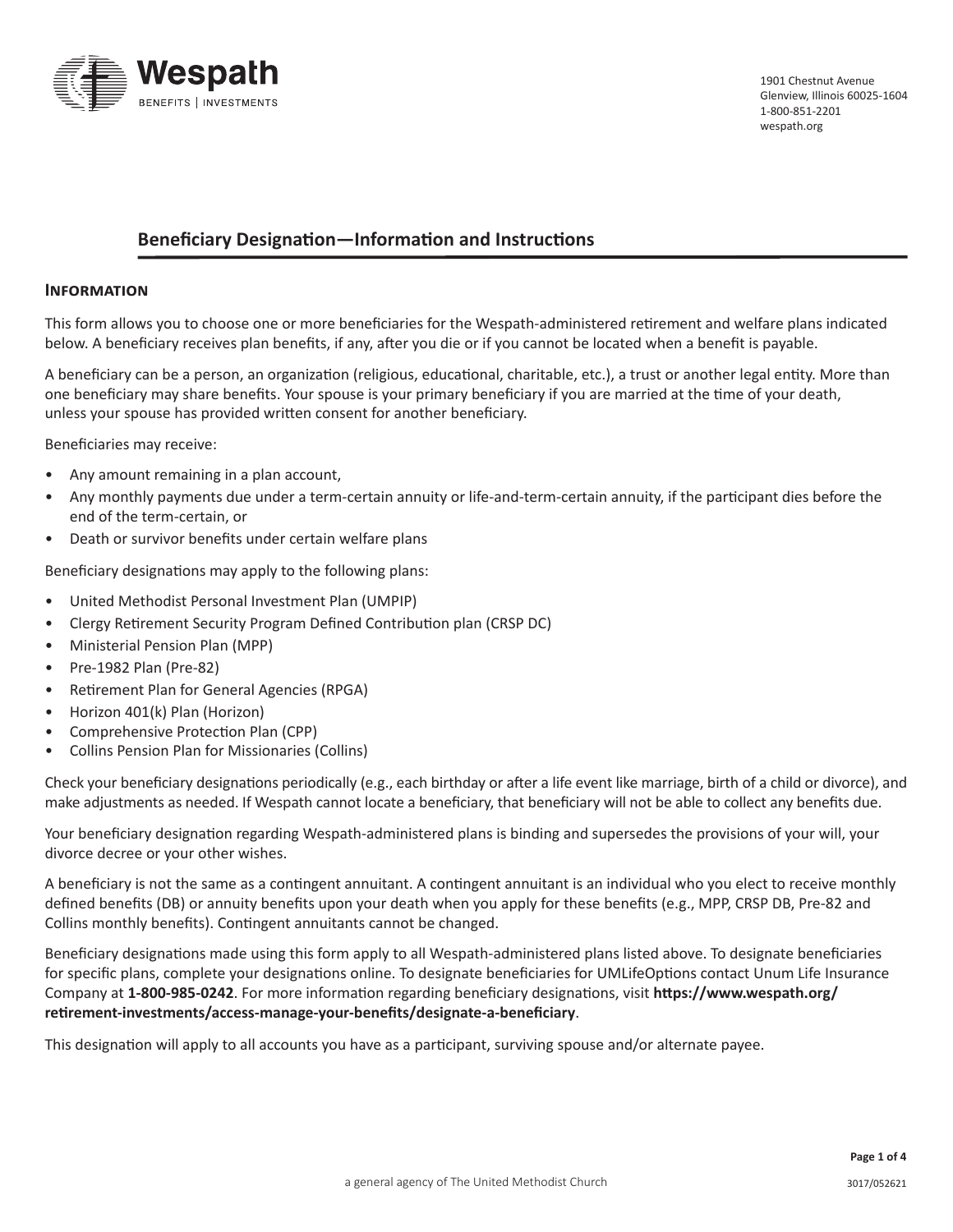

# **Beneficiary Designation—Information and Instructions**

#### **Information**

This form allows you to choose one or more beneficiaries for the Wespath-administered retirement and welfare plans indicated below. A beneficiary receives plan benefits, if any, after you die or if you cannot be located when a benefit is payable.

A beneficiary can be a person, an organization (religious, educational, charitable, etc.), a trust or another legal entity. More than one beneficiary may share benefits. Your spouse is your primary beneficiary if you are married at the time of your death, unless your spouse has provided written consent for another beneficiary.

Beneficiaries may receive:

- Any amount remaining in a plan account,
- Any monthly payments due under a term-certain annuity or life-and-term-certain annuity, if the participant dies before the end of the term-certain, or
- Death or survivor benefits under certain welfare plans

Beneficiary designations may apply to the following plans:

- United Methodist Personal Investment Plan (UMPIP)
- Clergy Retirement Security Program Defined Contribution plan (CRSP DC)
- Ministerial Pension Plan (MPP)
- Pre-1982 Plan (Pre-82)
- Retirement Plan for General Agencies (RPGA)
- Horizon 401(k) Plan (Horizon)
- Comprehensive Protection Plan (CPP)
- Collins Pension Plan for Missionaries (Collins)

Check your beneficiary designations periodically (e.g., each birthday or after a life event like marriage, birth of a child or divorce), and make adjustments as needed. If Wespath cannot locate a beneficiary, that beneficiary will not be able to collect any benefits due.

Your beneficiary designation regarding Wespath-administered plans is binding and supersedes the provisions of your will, your divorce decree or your other wishes.

A beneficiary is not the same as a contingent annuitant. A contingent annuitant is an individual who you elect to receive monthly defined benefits (DB) or annuity benefits upon your death when you apply for these benefits (e.g., MPP, CRSP DB, Pre-82 and Collins monthly benefits). Contingent annuitants cannot be changed.

Beneficiary designations made using this form apply to all Wespath-administered plans listed above. To designate beneficiaries for specific plans, complete your designations online. To designate beneficiaries for UMLifeOptions contact Unum Life Insurance Company at **1-800-985-0242**. For more information regarding beneficiary designations, visit **https://www.wespath.org/ retirement-investments/access-manage-your-benefits/designate-a-beneficiary**.

This designation will apply to all accounts you have as a participant, surviving spouse and/or alternate payee.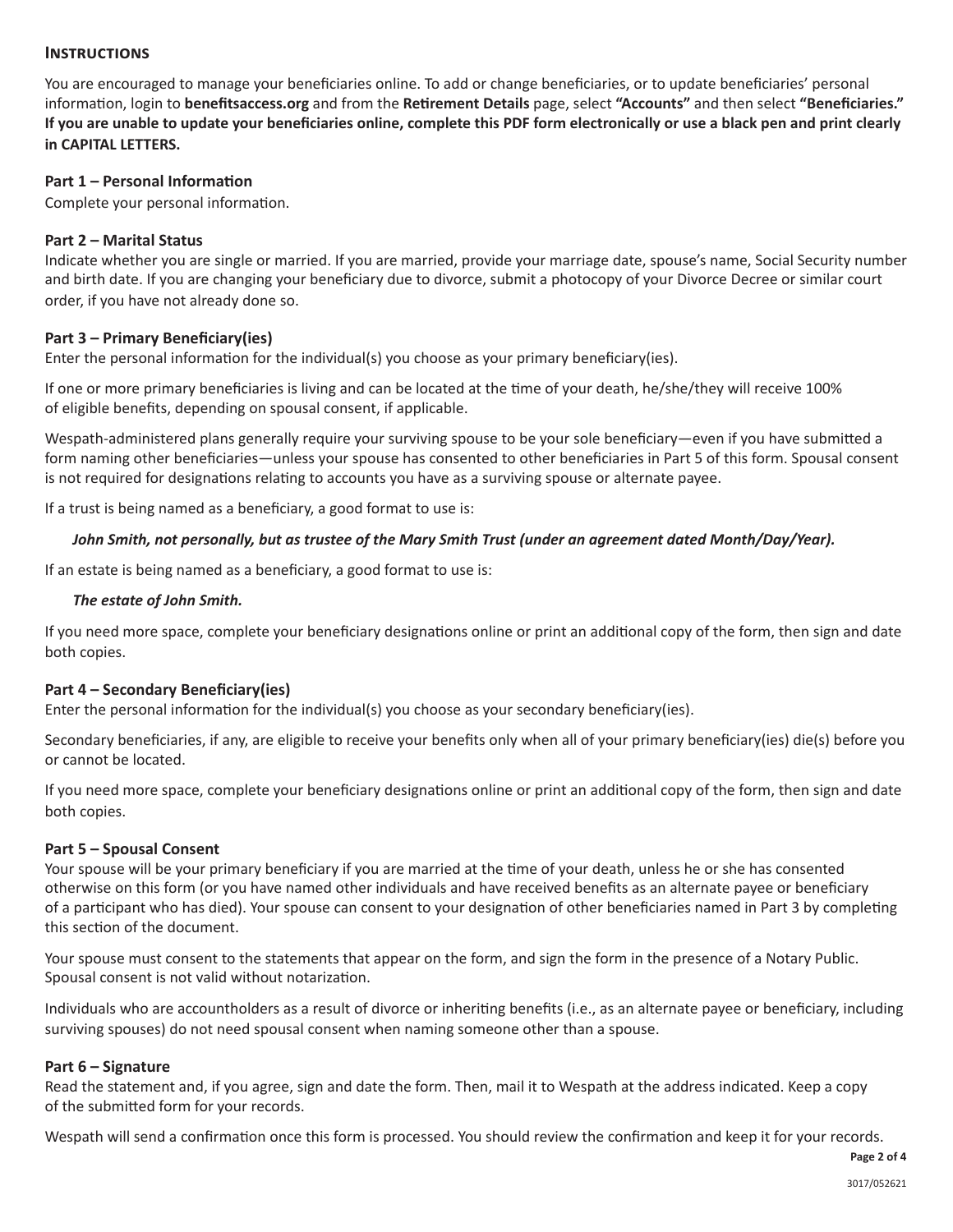### **Instructions**

You are encouraged to manage your beneficiaries online. To add or change beneficiaries, or to update beneficiaries' personal information, login to **benefitsaccess.org** and from the **Retirement Details** page, select **"Accounts"** and then select **"Beneficiaries." If you are unable to update your beneficiaries online, complete this PDF form electronically or use a black pen and print clearly in CAPITAL LETTERS.**

### **Part 1 – Personal Information**

Complete your personal information.

## **Part 2 – Marital Status**

Indicate whether you are single or married. If you are married, provide your marriage date, spouse's name, Social Security number and birth date. If you are changing your beneficiary due to divorce, submit a photocopy of your Divorce Decree or similar court order, if you have not already done so.

## **Part 3 – Primary Beneficiary(ies)**

Enter the personal information for the individual(s) you choose as your primary beneficiary(ies).

If one or more primary beneficiaries is living and can be located at the time of your death, he/she/they will receive 100% of eligible benefits, depending on spousal consent, if applicable.

Wespath-administered plans generally require your surviving spouse to be your sole beneficiary—even if you have submitted a form naming other beneficiaries—unless your spouse has consented to other beneficiaries in Part 5 of this form. Spousal consent is not required for designations relating to accounts you have as a surviving spouse or alternate payee.

If a trust is being named as a beneficiary, a good format to use is:

### *John Smith, not personally, but as trustee of the Mary Smith Trust (under an agreement dated Month/Day/Year).*

If an estate is being named as a beneficiary, a good format to use is:

### *The estate of John Smith.*

If you need more space, complete your beneficiary designations online or print an additional copy of the form, then sign and date both copies.

### **Part 4 – Secondary Beneficiary(ies)**

Enter the personal information for the individual(s) you choose as your secondary beneficiary(ies).

Secondary beneficiaries, if any, are eligible to receive your benefits only when all of your primary beneficiary(ies) die(s) before you or cannot be located.

If you need more space, complete your beneficiary designations online or print an additional copy of the form, then sign and date both copies.

### **Part 5 – Spousal Consent**

Your spouse will be your primary beneficiary if you are married at the time of your death, unless he or she has consented otherwise on this form (or you have named other individuals and have received benefits as an alternate payee or beneficiary of a participant who has died). Your spouse can consent to your designation of other beneficiaries named in Part 3 by completing this section of the document.

Your spouse must consent to the statements that appear on the form, and sign the form in the presence of a Notary Public. Spousal consent is not valid without notarization.

Individuals who are accountholders as a result of divorce or inheriting benefits (i.e., as an alternate payee or beneficiary, including surviving spouses) do not need spousal consent when naming someone other than a spouse.

### **Part 6 – Signature**

Read the statement and, if you agree, sign and date the form. Then, mail it to Wespath at the address indicated. Keep a copy of the submitted form for your records.

Wespath will send a confirmation once this form is processed. You should review the confirmation and keep it for your records.

**Page 2 of 4**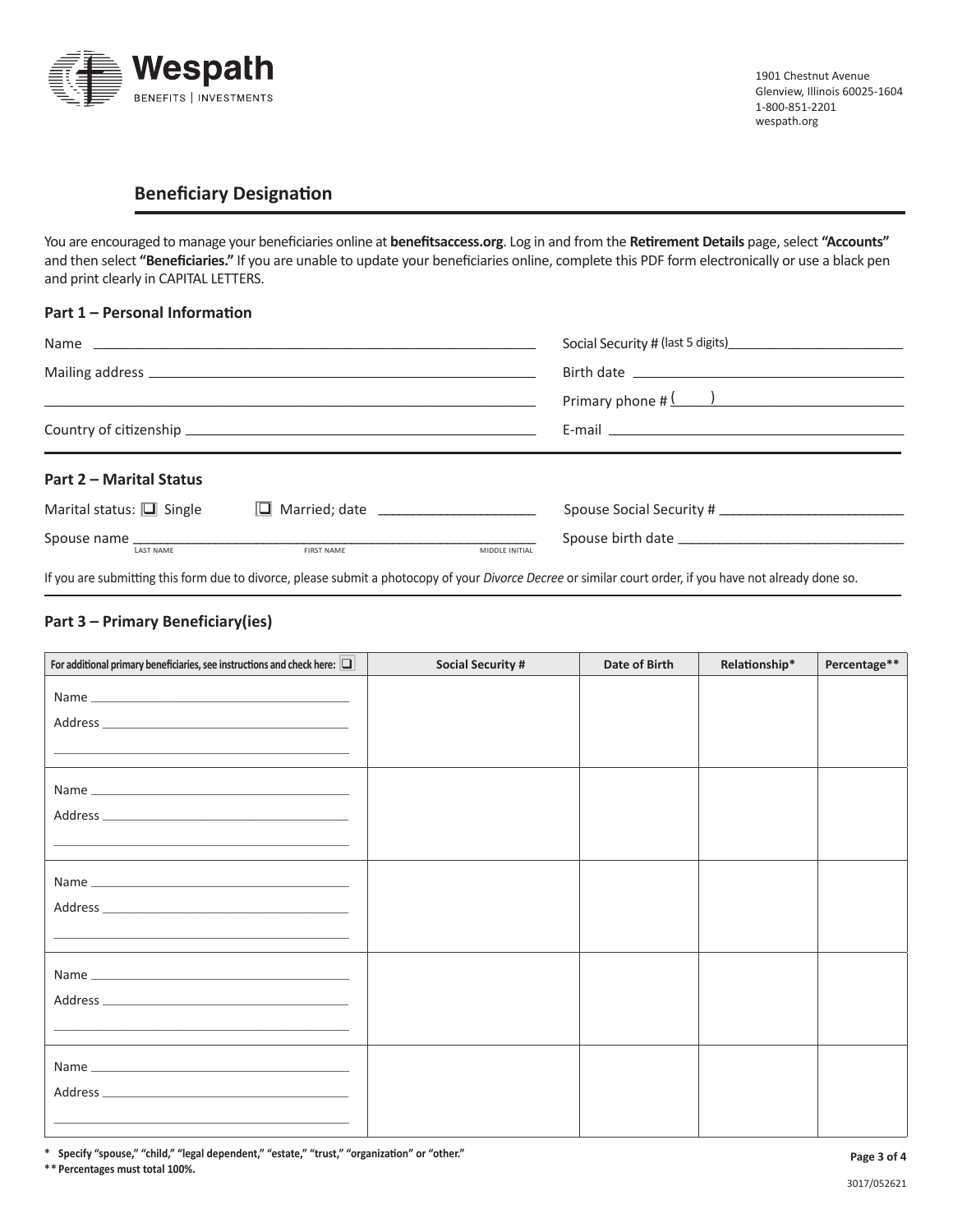

# **Beneficiary Designation**

You are encouraged to manage your beneficiaries online at **benefitsaccess.org**. Log in and from the **Retirement Details** page, select **"Accounts"** and then select **"Beneficiaries."** If you are unable to update your beneficiaries online, complete this PDF form electronically or use a black pen and print clearly in CAPITAL LETTERS.

#### **Part 1 – Personal Information**

|                                |                                        |                | Primary phone $\sharp$ $\left(\begin{array}{c} \hline \ \hline \end{array}\right)$ |  |  |
|--------------------------------|----------------------------------------|----------------|------------------------------------------------------------------------------------|--|--|
|                                |                                        |                |                                                                                    |  |  |
| <b>Part 2 - Marital Status</b> |                                        |                |                                                                                    |  |  |
| Marital status: $\Box$ Single  | □ Married; date ______________________ |                |                                                                                    |  |  |
| <b>LAST NAME</b>               | FIRST NAME                             | MIDDLE INITIAL |                                                                                    |  |  |

If you are submitting this form due to divorce, please submit a photocopy of your *Divorce Decree* or similar court order, if you have not already done so.

#### **Part 3 – Primary Beneficiary(ies)**

| For additional primary beneficiaries, see instructions and check here: $\Box$                                                                                                                                                        | <b>Social Security #</b> | Date of Birth | Relationship* | Percentage** |
|--------------------------------------------------------------------------------------------------------------------------------------------------------------------------------------------------------------------------------------|--------------------------|---------------|---------------|--------------|
|                                                                                                                                                                                                                                      |                          |               |               |              |
|                                                                                                                                                                                                                                      |                          |               |               |              |
|                                                                                                                                                                                                                                      |                          |               |               |              |
|                                                                                                                                                                                                                                      |                          |               |               |              |
|                                                                                                                                                                                                                                      |                          |               |               |              |
|                                                                                                                                                                                                                                      |                          |               |               |              |
|                                                                                                                                                                                                                                      |                          |               |               |              |
|                                                                                                                                                                                                                                      |                          |               |               |              |
|                                                                                                                                                                                                                                      |                          |               |               |              |
|                                                                                                                                                                                                                                      |                          |               |               |              |
| <u>state and the state of the state of the state of the state of the state of the state of the state of the state of the state of the state of the state of the state of the state of the state of the state of the state of the</u> |                          |               |               |              |
|                                                                                                                                                                                                                                      |                          |               |               |              |
|                                                                                                                                                                                                                                      |                          |               |               |              |
| Address and the contract of the contract of the contract of the contract of the contract of the contract of the                                                                                                                      |                          |               |               |              |
|                                                                                                                                                                                                                                      |                          |               |               |              |
|                                                                                                                                                                                                                                      |                          |               |               |              |
|                                                                                                                                                                                                                                      |                          |               |               |              |
|                                                                                                                                                                                                                                      |                          |               |               |              |
|                                                                                                                                                                                                                                      |                          |               |               |              |

**\* Specify "spouse," "child," "legal dependent," "estate," "trust," "organization" or "other."**

**\*\* Percentages must total 100%.**